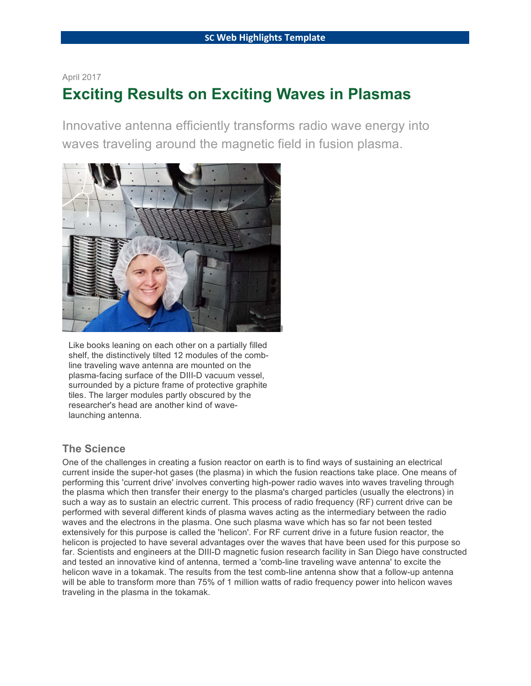#### April 2017

# **Exciting Results on Exciting Waves in Plasmas**

Innovative antenna efficiently transforms radio wave energy into waves traveling around the magnetic field in fusion plasma.



Like books leaning on each other on a partially filled shelf, the distinctively tilted 12 modules of the combline traveling wave antenna are mounted on the plasma-facing surface of the DIII-D vacuum vessel, surrounded by a picture frame of protective graphite tiles. The larger modules partly obscured by the researcher's head are another kind of wavelaunching antenna.

#### **The Science**

One of the challenges in creating a fusion reactor on earth is to find ways of sustaining an electrical current inside the super-hot gases (the plasma) in which the fusion reactions take place. One means of performing this 'current drive' involves converting high-power radio waves into waves traveling through the plasma which then transfer their energy to the plasma's charged particles (usually the electrons) in such a way as to sustain an electric current. This process of radio frequency (RF) current drive can be performed with several different kinds of plasma waves acting as the intermediary between the radio waves and the electrons in the plasma. One such plasma wave which has so far not been tested extensively for this purpose is called the 'helicon'. For RF current drive in a future fusion reactor, the helicon is projected to have several advantages over the waves that have been used for this purpose so far. Scientists and engineers at the DIII-D magnetic fusion research facility in San Diego have constructed and tested an innovative kind of antenna, termed a 'comb-line traveling wave antenna' to excite the helicon wave in a tokamak. The results from the test comb-line antenna show that a follow-up antenna will be able to transform more than 75% of 1 million watts of radio frequency power into helicon waves traveling in the plasma in the tokamak.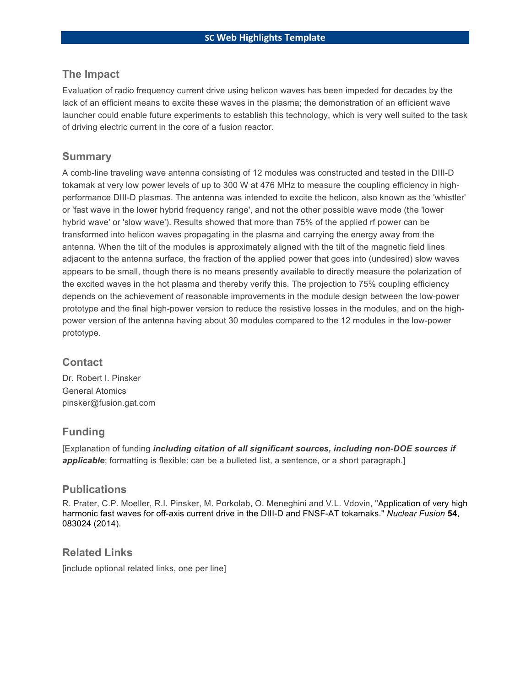#### **The Impact**

Evaluation of radio frequency current drive using helicon waves has been impeded for decades by the lack of an efficient means to excite these waves in the plasma; the demonstration of an efficient wave launcher could enable future experiments to establish this technology, which is very well suited to the task of driving electric current in the core of a fusion reactor.

#### **Summary**

A comb-line traveling wave antenna consisting of 12 modules was constructed and tested in the DIII-D tokamak at very low power levels of up to 300 W at 476 MHz to measure the coupling efficiency in highperformance DIII-D plasmas. The antenna was intended to excite the helicon, also known as the 'whistler' or 'fast wave in the lower hybrid frequency range', and not the other possible wave mode (the 'lower hybrid wave' or 'slow wave'). Results showed that more than 75% of the applied rf power can be transformed into helicon waves propagating in the plasma and carrying the energy away from the antenna. When the tilt of the modules is approximately aligned with the tilt of the magnetic field lines adjacent to the antenna surface, the fraction of the applied power that goes into (undesired) slow waves appears to be small, though there is no means presently available to directly measure the polarization of the excited waves in the hot plasma and thereby verify this. The projection to 75% coupling efficiency depends on the achievement of reasonable improvements in the module design between the low-power prototype and the final high-power version to reduce the resistive losses in the modules, and on the highpower version of the antenna having about 30 modules compared to the 12 modules in the low-power prototype.

#### **Contact**

Dr. Robert I. Pinsker General Atomics pinsker@fusion.gat.com

#### **Funding**

[Explanation of funding *including citation of all significant sources, including non-DOE sources if*  **applicable**; formatting is flexible: can be a bulleted list, a sentence, or a short paragraph.]

#### **Publications**

R. Prater, C.P. Moeller, R.I. Pinsker, M. Porkolab, O. Meneghini and V.L. Vdovin, "Application of very high harmonic fast waves for off-axis current drive in the DIII-D and FNSF-AT tokamaks." *Nuclear Fusion* **54**, 083024 (2014).

#### **Related Links**

[include optional related links, one per line]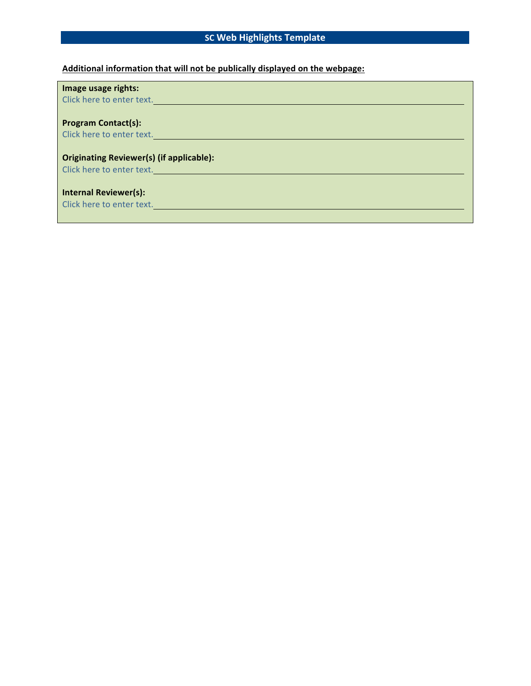### **SC Web Highlights Template**

#### **Additional information that will not be publically displayed on the webpage:**

| Image usage rights:                                                                       |
|-------------------------------------------------------------------------------------------|
| Click here to enter text.                                                                 |
|                                                                                           |
| <b>Program Contact(s):</b>                                                                |
| Click here to enter text.                                                                 |
|                                                                                           |
| <b>Originating Reviewer(s) (if applicable):</b>                                           |
| Click here to enter text. The contract of the contract of the contract of the contract of |
|                                                                                           |
| <b>Internal Reviewer(s):</b>                                                              |
| Click here to enter text.                                                                 |
|                                                                                           |